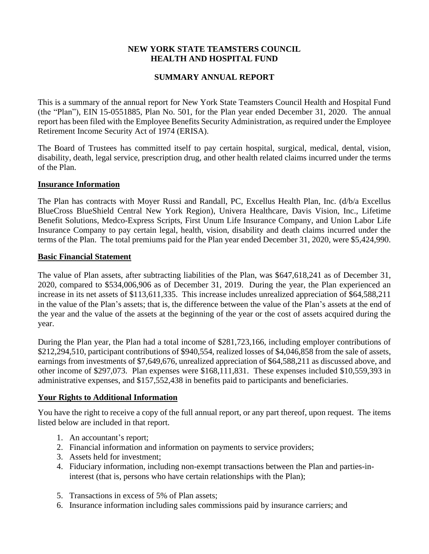## **NEW YORK STATE TEAMSTERS COUNCIL HEALTH AND HOSPITAL FUND**

# **SUMMARY ANNUAL REPORT**

This is a summary of the annual report for New York State Teamsters Council Health and Hospital Fund (the "Plan"), EIN 15-0551885, Plan No. 501, for the Plan year ended December 31, 2020. The annual report has been filed with the Employee Benefits Security Administration, as required under the Employee Retirement Income Security Act of 1974 (ERISA).

The Board of Trustees has committed itself to pay certain hospital, surgical, medical, dental, vision, disability, death, legal service, prescription drug, and other health related claims incurred under the terms of the Plan.

### **Insurance Information**

The Plan has contracts with Moyer Russi and Randall, PC, Excellus Health Plan, Inc. (d/b/a Excellus BlueCross BlueShield Central New York Region), Univera Healthcare, Davis Vision, Inc., Lifetime Benefit Solutions, Medco-Express Scripts, First Unum Life Insurance Company, and Union Labor Life Insurance Company to pay certain legal, health, vision, disability and death claims incurred under the terms of the Plan. The total premiums paid for the Plan year ended December 31, 2020, were \$5,424,990.

#### **Basic Financial Statement**

The value of Plan assets, after subtracting liabilities of the Plan, was \$647,618,241 as of December 31, 2020, compared to \$534,006,906 as of December 31, 2019. During the year, the Plan experienced an increase in its net assets of \$113,611,335. This increase includes unrealized appreciation of \$64,588,211 in the value of the Plan's assets; that is, the difference between the value of the Plan's assets at the end of the year and the value of the assets at the beginning of the year or the cost of assets acquired during the year.

During the Plan year, the Plan had a total income of \$281,723,166, including employer contributions of \$212,294,510, participant contributions of \$940,554, realized losses of \$4,046,858 from the sale of assets, earnings from investments of \$7,649,676, unrealized appreciation of \$64,588,211 as discussed above, and other income of \$297,073. Plan expenses were \$168,111,831. These expenses included \$10,559,393 in administrative expenses, and \$157,552,438 in benefits paid to participants and beneficiaries.

### **Your Rights to Additional Information**

You have the right to receive a copy of the full annual report, or any part thereof, upon request. The items listed below are included in that report.

- 1. An accountant's report;
- 2. Financial information and information on payments to service providers;
- 3. Assets held for investment;
- 4. Fiduciary information, including non-exempt transactions between the Plan and parties-ininterest (that is, persons who have certain relationships with the Plan);
- 5. Transactions in excess of 5% of Plan assets;
- 6. Insurance information including sales commissions paid by insurance carriers; and